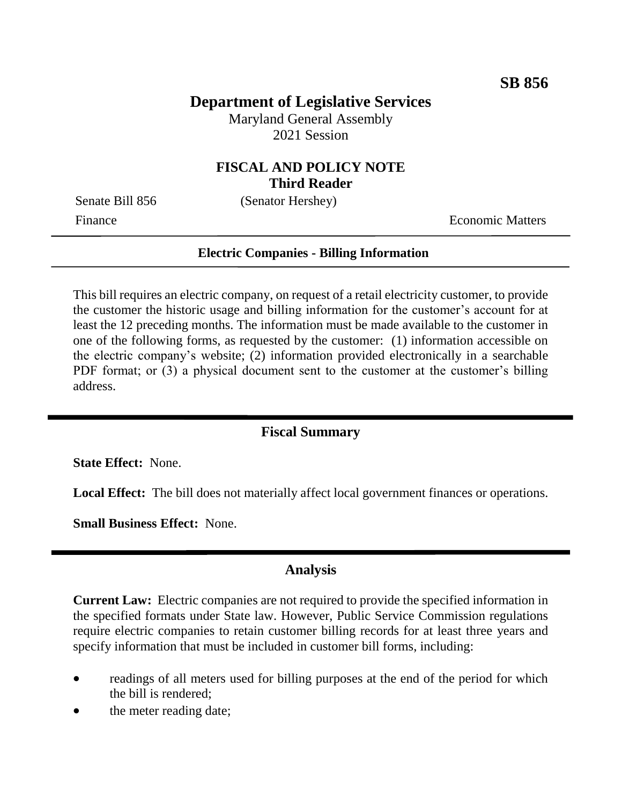# **Department of Legislative Services**

Maryland General Assembly 2021 Session

### **FISCAL AND POLICY NOTE Third Reader**

Senate Bill 856 (Senator Hershey)

Finance **Exercífical Economic Matters** 

#### **Electric Companies - Billing Information**

This bill requires an electric company, on request of a retail electricity customer, to provide the customer the historic usage and billing information for the customer's account for at least the 12 preceding months. The information must be made available to the customer in one of the following forms, as requested by the customer: (1) information accessible on the electric company's website; (2) information provided electronically in a searchable PDF format; or (3) a physical document sent to the customer at the customer's billing address.

#### **Fiscal Summary**

**State Effect:** None.

**Local Effect:** The bill does not materially affect local government finances or operations.

**Small Business Effect:** None.

#### **Analysis**

**Current Law:** Electric companies are not required to provide the specified information in the specified formats under State law. However, Public Service Commission regulations require electric companies to retain customer billing records for at least three years and specify information that must be included in customer bill forms, including:

- readings of all meters used for billing purposes at the end of the period for which the bill is rendered;
- the meter reading date;